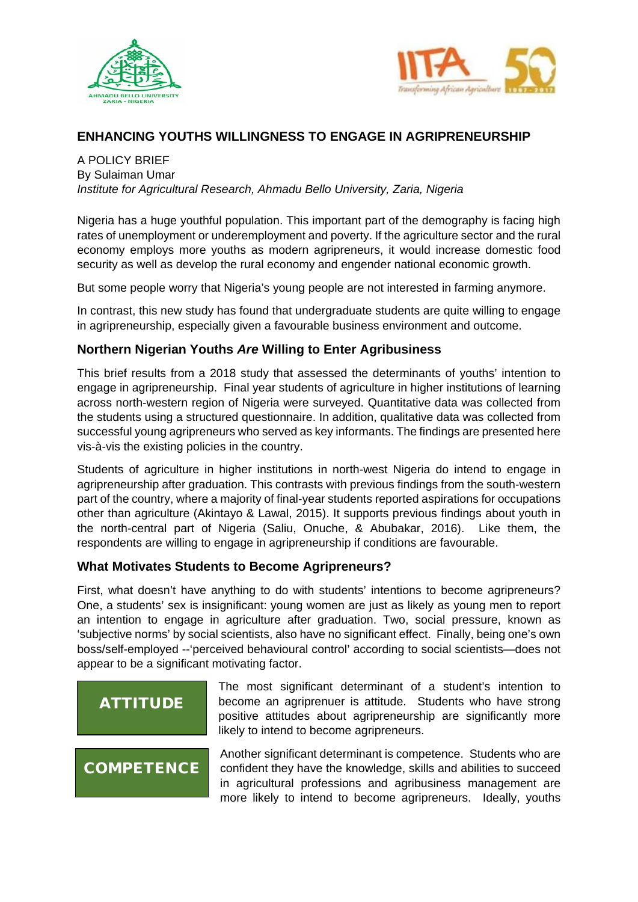



# **ENHANCING YOUTHS WILLINGNESS TO ENGAGE IN AGRIPRENEURSHIP**

A POLICY BRIEF By Sulaiman Umar *Institute for Agricultural Research, Ahmadu Bello University, Zaria, Nigeria*

Nigeria has a huge youthful population. This important part of the demography is facing high rates of unemployment or underemployment and poverty. If the agriculture sector and the rural economy employs more youths as modern agripreneurs, it would increase domestic food security as well as develop the rural economy and engender national economic growth.

But some people worry that Nigeria's young people are not interested in farming anymore.

In contrast, this new study has found that undergraduate students are quite willing to engage in agripreneurship, especially given a favourable business environment and outcome.

## **Northern Nigerian Youths** *Are* **Willing to Enter Agribusiness**

This brief results from a 2018 study that assessed the determinants of youths' intention to engage in agripreneurship. Final year students of agriculture in higher institutions of learning across north-western region of Nigeria were surveyed. Quantitative data was collected from the students using a structured questionnaire. In addition, qualitative data was collected from successful young agripreneurs who served as key informants. The findings are presented here vis-à-vis the existing policies in the country.

Students of agriculture in higher institutions in north-west Nigeria do intend to engage in agripreneurship after graduation. This contrasts with previous findings from the south-western part of the country, where a majority of final-year students reported aspirations for occupations other than agriculture (Akintayo & Lawal, 2015). It supports previous findings about youth in the north-central part of Nigeria (Saliu, Onuche, & Abubakar, 2016). Like them, the respondents are willing to engage in agripreneurship if conditions are favourable.

## **What Motivates Students to Become Agripreneurs?**

First, what doesn't have anything to do with students' intentions to become agripreneurs? One, a students' sex is insignificant: young women are just as likely as young men to report an intention to engage in agriculture after graduation. Two, social pressure, known as 'subjective norms' by social scientists, also have no significant effect. Finally, being one's own boss/self-employed --'perceived behavioural control' according to social scientists—does not appear to be a significant motivating factor.

# **ATTITUDE**

The most significant determinant of a student's intention to become an agriprenuer is attitude. Students who have strong positive attitudes about agripreneurship are significantly more likely to intend to become agripreneurs.

# **COMPETENCE**

Another significant determinant is competence. Students who are confident they have the knowledge, skills and abilities to succeed in agricultural professions and agribusiness management are more likely to intend to become agripreneurs. Ideally, youths